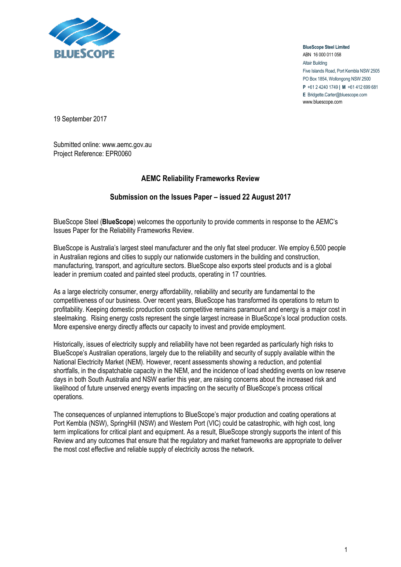

**BlueScope Steel Limited** ABN 16 000 011 058 Altair Building Five Islands Road, Port Kembla NSW 2505 PO Box 1854, Wollongong NSW 2500 **P** +61 2 4240 1749 **| M** +61 412 699 681 **E** Bridgette.Carter@bluescope.com www.bluescope.com

19 September 2017

Submitted online: www.aemc.gov.au Project Reference: EPR0060

## **AEMC Reliability Frameworks Review**

## **Submission on the Issues Paper – issued 22 August 2017**

BlueScope Steel (**BlueScope**) welcomes the opportunity to provide comments in response to the AEMC's Issues Paper for the Reliability Frameworks Review.

BlueScope is Australia's largest steel manufacturer and the only flat steel producer. We employ 6,500 people in Australian regions and cities to supply our nationwide customers in the building and construction, manufacturing, transport, and agriculture sectors. BlueScope also exports steel products and is a global leader in premium coated and painted steel products, operating in 17 countries.

As a large electricity consumer, energy affordability, reliability and security are fundamental to the competitiveness of our business. Over recent years, BlueScope has transformed its operations to return to profitability. Keeping domestic production costs competitive remains paramount and energy is a major cost in steelmaking. Rising energy costs represent the single largest increase in BlueScope's local production costs. More expensive energy directly affects our capacity to invest and provide employment.

Historically, issues of electricity supply and reliability have not been regarded as particularly high risks to BlueScope's Australian operations, largely due to the reliability and security of supply available within the National Electricity Market (NEM). However, recent assessments showing a reduction, and potential shortfalls, in the dispatchable capacity in the NEM, and the incidence of load shedding events on low reserve days in both South Australia and NSW earlier this year, are raising concerns about the increased risk and likelihood of future unserved energy events impacting on the security of BlueScope's process critical operations.

The consequences of unplanned interruptions to BlueScope's major production and coating operations at Port Kembla (NSW), SpringHill (NSW) and Western Port (VIC) could be catastrophic, with high cost, long term implications for critical plant and equipment. As a result, BlueScope strongly supports the intent of this Review and any outcomes that ensure that the regulatory and market frameworks are appropriate to deliver the most cost effective and reliable supply of electricity across the network.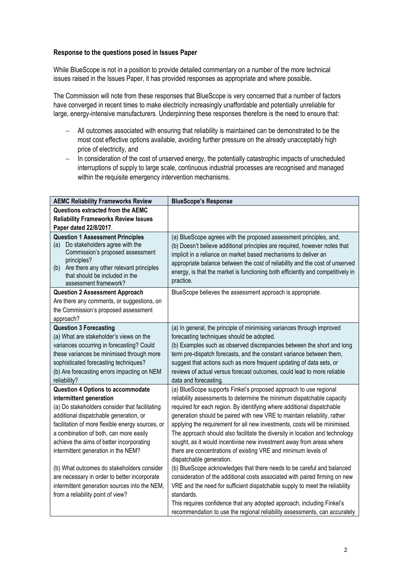## **Response to the questions posed in Issues Paper**

While BlueScope is not in a position to provide detailed commentary on a number of the more technical issues raised in the Issues Paper, it has provided responses as appropriate and where possible**.** 

The Commission will note from these responses that BlueScope is very concerned that a number of factors have converged in recent times to make electricity increasingly unaffordable and potentially unreliable for large, energy-intensive manufacturers. Underpinning these responses therefore is the need to ensure that:

- All outcomes associated with ensuring that reliability is maintained can be demonstrated to be the most cost effective options available, avoiding further pressure on the already unacceptably high price of electricity, and
- In consideration of the cost of unserved energy, the potentially catastrophic impacts of unscheduled interruptions of supply to large scale, continuous industrial processes are recognised and managed within the requisite emergency intervention mechanisms.

| <b>AEMC Reliability Frameworks Review</b>                                                                                                                                                                                                        | <b>BlueScope's Response</b>                                                                                                                                                                                                                                                                                                                                                                         |
|--------------------------------------------------------------------------------------------------------------------------------------------------------------------------------------------------------------------------------------------------|-----------------------------------------------------------------------------------------------------------------------------------------------------------------------------------------------------------------------------------------------------------------------------------------------------------------------------------------------------------------------------------------------------|
| Questions extracted from the AEMC                                                                                                                                                                                                                |                                                                                                                                                                                                                                                                                                                                                                                                     |
| <b>Reliability Frameworks Review Issues</b>                                                                                                                                                                                                      |                                                                                                                                                                                                                                                                                                                                                                                                     |
| Paper dated 22/8/2017.                                                                                                                                                                                                                           |                                                                                                                                                                                                                                                                                                                                                                                                     |
| <b>Question 1 Assessment Principles</b><br>Do stakeholders agree with the<br>(a)<br>Commission's proposed assessment<br>principles?<br>Are there any other relevant principles<br>(b)<br>that should be included in the<br>assessment framework? | (a) BlueScope agrees with the proposed assessment principles, and,<br>(b) Doesn't believe additional principles are required, however notes that<br>implicit in a reliance on market based mechanisms to deliver an<br>appropriate balance between the cost of reliability and the cost of unserved<br>energy, is that the market is functioning both efficiently and competitively in<br>practice. |
| <b>Question 2 Assessment Approach</b>                                                                                                                                                                                                            | BlueScope believes the assessment approach is appropriate.                                                                                                                                                                                                                                                                                                                                          |
| Are there any comments, or suggestions, on                                                                                                                                                                                                       |                                                                                                                                                                                                                                                                                                                                                                                                     |
| the Commission's proposed assessment                                                                                                                                                                                                             |                                                                                                                                                                                                                                                                                                                                                                                                     |
| approach?                                                                                                                                                                                                                                        |                                                                                                                                                                                                                                                                                                                                                                                                     |
| <b>Question 3 Forecasting</b>                                                                                                                                                                                                                    | (a) In general, the principle of minimising variances through improved                                                                                                                                                                                                                                                                                                                              |
| (a) What are stakeholder's views on the                                                                                                                                                                                                          | forecasting techniques should be adopted.                                                                                                                                                                                                                                                                                                                                                           |
| variances occurring in forecasting? Could                                                                                                                                                                                                        | (b) Examples such as observed discrepancies between the short and long                                                                                                                                                                                                                                                                                                                              |
| these variances be minimised through more                                                                                                                                                                                                        | term pre-dispatch forecasts, and the constant variance between them,                                                                                                                                                                                                                                                                                                                                |
| sophisticated forecasting techniques?                                                                                                                                                                                                            | suggest that actions such as more frequent updating of data sets, or                                                                                                                                                                                                                                                                                                                                |
| (b) Are forecasting errors impacting on NEM<br>reliability?                                                                                                                                                                                      | reviews of actual versus forecast outcomes, could lead to more reliable<br>data and forecasting.                                                                                                                                                                                                                                                                                                    |
| <b>Question 4 Options to accommodate</b>                                                                                                                                                                                                         | (a) BlueScope supports Finkel's proposed approach to use regional                                                                                                                                                                                                                                                                                                                                   |
| intermittent generation                                                                                                                                                                                                                          | reliability assessments to determine the minimum dispatchable capacity                                                                                                                                                                                                                                                                                                                              |
| (a) Do stakeholders consider that facilitating                                                                                                                                                                                                   | required for each region. By identifying where additional dispatchable                                                                                                                                                                                                                                                                                                                              |
| additional dispatchable generation, or                                                                                                                                                                                                           | generation should be paired with new VRE to maintain reliability, rather                                                                                                                                                                                                                                                                                                                            |
| facilitation of more flexible energy sources, or                                                                                                                                                                                                 | applying the requirement for all new investments, costs will be minimised.                                                                                                                                                                                                                                                                                                                          |
| a combination of both, can more easily                                                                                                                                                                                                           | The approach should also facilitate the diversity in location and technology                                                                                                                                                                                                                                                                                                                        |
| achieve the aims of better incorporating                                                                                                                                                                                                         | sought, as it would incentivise new investment away from areas where                                                                                                                                                                                                                                                                                                                                |
| intermittent generation in the NEM?                                                                                                                                                                                                              | there are concentrations of existing VRE and minimum levels of                                                                                                                                                                                                                                                                                                                                      |
|                                                                                                                                                                                                                                                  | dispatchable generation.                                                                                                                                                                                                                                                                                                                                                                            |
| (b) What outcomes do stakeholders consider                                                                                                                                                                                                       | (b) BlueScope acknowledges that there needs to be careful and balanced                                                                                                                                                                                                                                                                                                                              |
| are necessary in order to better incorporate                                                                                                                                                                                                     | consideration of the additional costs associated with paired firming on new                                                                                                                                                                                                                                                                                                                         |
| intermittent generation sources into the NEM,                                                                                                                                                                                                    | VRE and the need for sufficient dispatchable supply to meet the reliability                                                                                                                                                                                                                                                                                                                         |
| from a reliability point of view?                                                                                                                                                                                                                | standards.                                                                                                                                                                                                                                                                                                                                                                                          |
|                                                                                                                                                                                                                                                  | This requires confidence that any adopted approach, including Finkel's                                                                                                                                                                                                                                                                                                                              |
|                                                                                                                                                                                                                                                  | recommendation to use the regional reliability assessments, can accurately                                                                                                                                                                                                                                                                                                                          |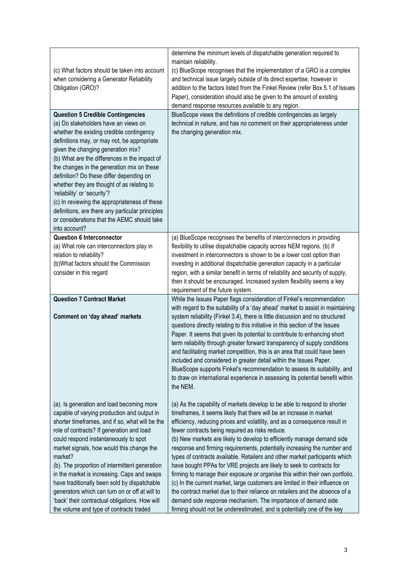| (c) What factors should be taken into account<br>when considering a Generator Reliability<br>Obligation (GRO)?<br><b>Question 5 Credible Contingencies</b><br>(a) Do stakeholders have an views on<br>whether the existing credible contingency<br>definitions may, or may not, be appropriate<br>given the changing generation mix?<br>(b) What are the differences in the impact of<br>the changes in the generation mix on these                                                                                                                                                       | determine the minimum levels of dispatchable generation required to<br>maintain reliability.<br>(c) BlueScope recognises that the implementation of a GRO is a complex<br>and technical issue largely outside of its direct expertise, however in<br>addition to the factors listed from the Finkel Review (refer Box 5.1 of Issues<br>Paper), consideration should also be given to the amount of existing<br>demand response resources available to any region.<br>BlueScope views the definitions of credible contingencies as largely<br>technical in nature, and has no comment on their appropriateness under<br>the changing generation mix.                                                                                                                                                                                                                                                                                                                                           |
|-------------------------------------------------------------------------------------------------------------------------------------------------------------------------------------------------------------------------------------------------------------------------------------------------------------------------------------------------------------------------------------------------------------------------------------------------------------------------------------------------------------------------------------------------------------------------------------------|-----------------------------------------------------------------------------------------------------------------------------------------------------------------------------------------------------------------------------------------------------------------------------------------------------------------------------------------------------------------------------------------------------------------------------------------------------------------------------------------------------------------------------------------------------------------------------------------------------------------------------------------------------------------------------------------------------------------------------------------------------------------------------------------------------------------------------------------------------------------------------------------------------------------------------------------------------------------------------------------------|
| definition? Do these differ depending on<br>whether they are thought of as relating to<br>'reliability' or 'security'?<br>(c) In reviewing the appropriateness of these<br>definitions, are there any particular principles<br>or considerations that the AEMC should take<br>into account?                                                                                                                                                                                                                                                                                               |                                                                                                                                                                                                                                                                                                                                                                                                                                                                                                                                                                                                                                                                                                                                                                                                                                                                                                                                                                                               |
| <b>Question 6 Interconnector</b><br>(a) What role can interconnectors play in<br>relation to reliability?<br>(b)What factors should the Commission<br>consider in this regard                                                                                                                                                                                                                                                                                                                                                                                                             | (a) BlueScope recognises the benefits of interconnectors in providing<br>flexibility to utilise dispatchable capacity across NEM regions. (b) If<br>investment in interconnectors is shown to be a lower cost option than<br>investing in additional dispatchable generation capacity in a particular<br>region, with a similar benefit in terms of reliability and security of supply,<br>then it should be encouraged. Increased system flexibility seems a key<br>requirement of the future system.                                                                                                                                                                                                                                                                                                                                                                                                                                                                                        |
| <b>Question 7 Contract Market</b><br>Comment on 'day ahead' markets                                                                                                                                                                                                                                                                                                                                                                                                                                                                                                                       | While the Issues Paper flags consideration of Finkel's recommendation<br>with regard to the suitability of a 'day ahead' market to assist in maintaining<br>system reliability (Finkel 3.4), there is little discussion and no structured<br>questions directly relating to this initiative in this section of the Issues<br>Paper. It seems that given its potential to contribute to enhancing short<br>term reliability through greater forward transparency of supply conditions<br>and facilitating market competition, this is an area that could have been<br>included and considered in greater detail within the Issues Paper.<br>BlueScope supports Finkel's recommendation to assess its suitability, and<br>to draw on international experience in assessing its potential benefit within<br>the NEM.                                                                                                                                                                             |
| (a). Is generation and load becoming more<br>capable of varying production and output in<br>shorter timeframes, and if so, what will be the<br>role of contracts? If generation and load<br>could respond instantaneously to spot<br>market signals, how would this change the<br>market?<br>(b). The proportion of intermittent generation<br>in the market is increasing. Caps and swaps<br>have traditionally been sold by dispatchable<br>generators which can turn on or off at will to<br>'back' their contractual obligations. How will<br>the volume and type of contracts traded | (a) As the capability of markets develop to be able to respond to shorter<br>timeframes, it seems likely that there will be an increase in market<br>efficiency, reducing prices and volatility, and as a consequence result in<br>fewer contracts being required as risks reduce.<br>(b) New markets are likely to develop to efficiently manage demand side<br>response and firming requirements, potentially increasing the number and<br>types of contracts available. Retailers and other market participants which<br>have bought PPAs for VRE projects are likely to seek to contracts for<br>firming to manage their exposure or organise this within their own portfolio.<br>(c) In the current market, large customers are limited in their influence on<br>the contract market due to their reliance on retailers and the absence of a<br>demand side response mechanism. The importance of demand side<br>firming should not be underestimated, and is potentially one of the key |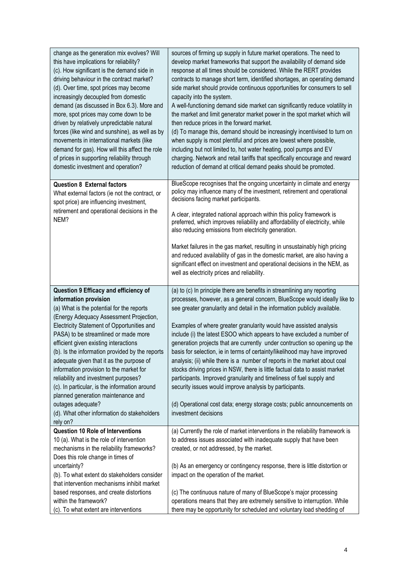| change as the generation mix evolves? Will<br>this have implications for reliability?<br>(c). How significant is the demand side in<br>driving behaviour in the contract market?<br>(d). Over time, spot prices may become<br>increasingly decoupled from domestic<br>demand (as discussed in Box 6.3). More and<br>more, spot prices may come down to be<br>driven by relatively unpredictable natural<br>forces (like wind and sunshine), as well as by<br>movements in international markets (like<br>demand for gas). How will this affect the role<br>of prices in supporting reliability through<br>domestic investment and operation?   | sources of firming up supply in future market operations. The need to<br>develop market frameworks that support the availability of demand side<br>response at all times should be considered. While the RERT provides<br>contracts to manage short term, identified shortages, an operating demand<br>side market should provide continuous opportunities for consumers to sell<br>capacity into the system.<br>A well-functioning demand side market can significantly reduce volatility in<br>the market and limit generator market power in the spot market which will<br>then reduce prices in the forward market.<br>(d) To manage this, demand should be increasingly incentivised to turn on<br>when supply is most plentiful and prices are lowest where possible,<br>including but not limited to, hot water heating, pool pumps and EV<br>charging. Network and retail tariffs that specifically encourage and reward<br>reduction of demand at critical demand peaks should be promoted. |
|------------------------------------------------------------------------------------------------------------------------------------------------------------------------------------------------------------------------------------------------------------------------------------------------------------------------------------------------------------------------------------------------------------------------------------------------------------------------------------------------------------------------------------------------------------------------------------------------------------------------------------------------|------------------------------------------------------------------------------------------------------------------------------------------------------------------------------------------------------------------------------------------------------------------------------------------------------------------------------------------------------------------------------------------------------------------------------------------------------------------------------------------------------------------------------------------------------------------------------------------------------------------------------------------------------------------------------------------------------------------------------------------------------------------------------------------------------------------------------------------------------------------------------------------------------------------------------------------------------------------------------------------------------|
| <b>Question 8 External factors</b><br>What external factors (ie not the contract, or<br>spot price) are influencing investment,<br>retirement and operational decisions in the<br>NEM?                                                                                                                                                                                                                                                                                                                                                                                                                                                         | BlueScope recognises that the ongoing uncertainty in climate and energy<br>policy may influence many of the investment, retirement and operational<br>decisions facing market participants.<br>A clear, integrated national approach within this policy framework is<br>preferred, which improves reliability and affordability of electricity, while<br>also reducing emissions from electricity generation.<br>Market failures in the gas market, resulting in unsustainably high pricing<br>and reduced availability of gas in the domestic market, are also having a<br>significant effect on investment and operational decisions in the NEM, as<br>well as electricity prices and reliability.                                                                                                                                                                                                                                                                                                 |
| Question 9 Efficacy and efficiency of<br>information provision<br>(a) What is the potential for the reports<br>(Energy Adequacy Assessment Projection,<br>Electricity Statement of Opportunities and<br>PASA) to be streamlined or made more<br>efficient given existing interactions<br>(b). Is the information provided by the reports<br>adequate given that it as the purpose of<br>information provision to the market for<br>reliability and investment purposes?<br>(c). In particular, is the information around<br>planned generation maintenance and<br>outages adequate?<br>(d). What other information do stakeholders<br>rely on? | (a) to (c) In principle there are benefits in streamlining any reporting<br>processes, however, as a general concern, BlueScope would ideally like to<br>see greater granularity and detail in the information publicly available.<br>Examples of where greater granularity would have assisted analysis<br>include (i) the latest ESOO which appears to have excluded a number of<br>generation projects that are currently under contruction so opening up the<br>basis for selection, ie in terms of certainty/likelihood may have improved<br>analysis; (ii) while there is a number of reports in the market about coal<br>stocks driving prices in NSW, there is little factual data to assist market<br>participants. Improved granularity and timeliness of fuel supply and<br>security issues would improve analysis by participants.<br>(d) Operational cost data; energy storage costs; public announcements on<br>investment decisions                                                   |
| <b>Question 10 Role of Interventions</b><br>10 (a). What is the role of intervention<br>mechanisms in the reliability frameworks?<br>Does this role change in times of<br>uncertainty?<br>(b). To what extent do stakeholders consider<br>that intervention mechanisms inhibit market<br>based responses, and create distortions<br>within the framework?<br>(c). To what extent are interventions                                                                                                                                                                                                                                             | (a) Currently the role of market interventions in the reliability framework is<br>to address issues associated with inadequate supply that have been<br>created, or not addressed, by the market.<br>(b) As an emergency or contingency response, there is little distortion or<br>impact on the operation of the market.<br>(c) The continuous nature of many of BlueScope's major processing<br>operations means that they are extremely sensitive to interruption. While<br>there may be opportunity for scheduled and voluntary load shedding of                                                                                                                                                                                                                                                                                                                                                                                                                                                 |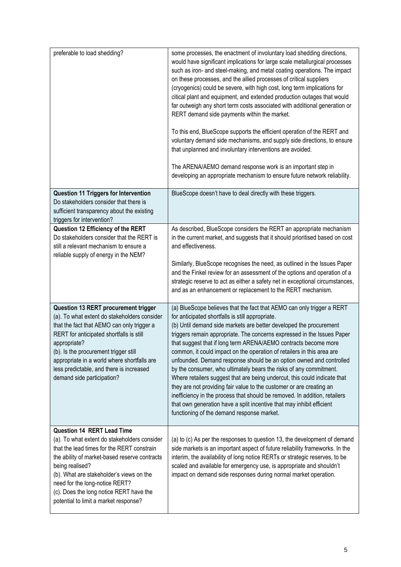| preferable to load shedding?                                                                                                                                                                                                                                                                                                                                          | some processes, the enactment of involuntary load shedding directions,<br>would have significant implications for large scale metallurgical processes<br>such as iron- and steel-making, and metal coating operations. The impact<br>on these processes, and the allied processes of critical suppliers<br>(cryogenics) could be severe, with high cost, long term implications for<br>citical plant and equipment, and extended production outages that would<br>far outweigh any short term costs associated with additional generation or<br>RERT demand side payments within the market.<br>To this end, BlueScope supports the efficient operation of the RERT and<br>voluntary demand side mechanisms, and supply side directions, to ensure<br>that unplanned and involuntary interventions are avoided.<br>The ARENA/AEMO demand response work is an important step in<br>developing an appropriate mechanism to ensure future network reliability. |
|-----------------------------------------------------------------------------------------------------------------------------------------------------------------------------------------------------------------------------------------------------------------------------------------------------------------------------------------------------------------------|-------------------------------------------------------------------------------------------------------------------------------------------------------------------------------------------------------------------------------------------------------------------------------------------------------------------------------------------------------------------------------------------------------------------------------------------------------------------------------------------------------------------------------------------------------------------------------------------------------------------------------------------------------------------------------------------------------------------------------------------------------------------------------------------------------------------------------------------------------------------------------------------------------------------------------------------------------------|
| <b>Question 11 Triggers for Intervention</b><br>Do stakeholders consider that there is<br>sufficient transparency about the existing<br>triggers for intervention?                                                                                                                                                                                                    | BlueScope doesn't have to deal directly with these triggers.                                                                                                                                                                                                                                                                                                                                                                                                                                                                                                                                                                                                                                                                                                                                                                                                                                                                                                |
| Question 12 Efficiency of the RERT<br>Do stakeholders consider that the RERT is<br>still a relevant mechanism to ensure a<br>reliable supply of energy in the NEM?                                                                                                                                                                                                    | As described, BlueScope considers the RERT an appropriate mechanism<br>in the current market, and suggests that it should prioritised based on cost<br>and effectiveness.<br>Similarly, BlueScope recognises the need, as outlined in the Issues Paper<br>and the Finkel review for an assessment of the options and operation of a<br>strategic reserve to act as either a safety net in exceptional circumstances,<br>and as an enhancement or replacement to the RERT mechanism.                                                                                                                                                                                                                                                                                                                                                                                                                                                                         |
| Question 13 RERT procurement trigger<br>(a). To what extent do stakeholders consider<br>that the fact that AEMO can only trigger a<br>RERT for anticipated shortfalls is still<br>appropriate?<br>(b). Is the procurement trigger still<br>appropriate in a world where shortfalls are<br>less predictable, and there is increased<br>demand side participation?      | (a) BlueScope believes that the fact that AEMO can only trigger a RERT<br>for anticipated shortfalls is still appropriate.<br>(b) Until demand side markets are better developed the procurement<br>triggers remain appropriate. The concerns expressed in the Issues Paper<br>that suggest that if long term ARENA/AEMO contracts become more<br>common, it could impact on the operation of retailers in this area are<br>unfounded. Demand response should be an option owned and controlled<br>by the consumer, who ultimately bears the risks of any commitment.<br>Where retailers suggest that are being undercut, this could indicate that<br>they are not providing fair value to the customer or are creating an<br>inefficiency in the process that should be removed. In addition, retailers<br>that own generation have a split incentive that may inhibit efficient<br>functioning of the demand response market.                             |
| <b>Question 14 RERT Lead Time</b><br>(a). To what extent do stakeholders consider<br>that the lead times for the RERT constrain<br>the ability of market-based reserve contracts<br>being realised?<br>(b). What are stakeholder's views on the<br>need for the long-notice RERT?<br>(c). Does the long notice RERT have the<br>potential to limit a market response? | (a) to (c) As per the responses to question 13, the development of demand<br>side markets is an important aspect of future reliability frameworks. In the<br>interim, the availability of long notice RERTs or strategic reserves, to be<br>scaled and available for emergency use, is appropriate and shouldn't<br>impact on demand side responses during normal market operation.                                                                                                                                                                                                                                                                                                                                                                                                                                                                                                                                                                         |